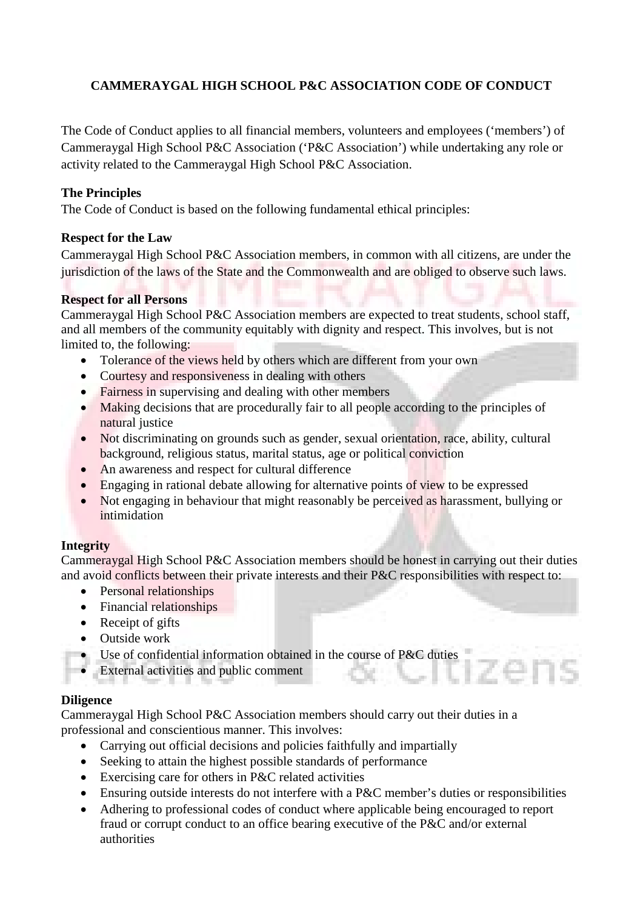# **CAMMERAYGAL HIGH SCHOOL P&C ASSOCIATION CODE OF CONDUCT**

The Code of Conduct applies to all financial members, volunteers and employees ('members') of Cammeraygal High School P&C Association ('P&C Association') while undertaking any role or activity related to the Cammeraygal High School P&C Association.

### **The Principles**

The Code of Conduct is based on the following fundamental ethical principles:

## **Respect for the Law**

Cammeraygal High School P&C Association members, in common with all citizens, are under the jurisdiction of the laws of the State and the Commonwealth and are obliged to observe such laws.

### **Respect for all Persons**

Cammeraygal High School P&C Association members are expected to treat students, school staff, and all members of the community equitably with dignity and respect. This involves, but is not limited to, the following:

- Tolerance of the views held by others which are different from your own
- Courtesy and responsiveness in dealing with others
- Fairness in supervising and dealing with other members
- Making decisions that are procedurally fair to all people according to the principles of natural justice
- Not discriminating on grounds such as gender, sexual orientation, race, ability, cultural background, religious status, marital status, age or political conviction
- An awareness and respect for cultural difference
- Engaging in rational debate allowing for alternative points of view to be expressed
- Not engaging in behaviour that might reasonably be perceived as harassment, bullying or intimidation

## **Integrity**

Cammeraygal High School P&C Association members should be honest in carrying out their duties and avoid conflicts between their private interests and their P&C responsibilities with respect to:

- Personal relationships
- Financial relationships
- Receipt of gifts
- Outside work
- Use of confidential information obtained in the course of P&C duties
- External activities and public comment

### **Diligence**

Cammeraygal High School P&C Association members should carry out their duties in a professional and conscientious manner. This involves:

- Carrying out official decisions and policies faithfully and impartially
- Seeking to attain the highest possible standards of performance
- Exercising care for others in P&C related activities
- Ensuring outside interests do not interfere with a P&C member's duties or responsibilities
- Adhering to professional codes of conduct where applicable being encouraged to report fraud or corrupt conduct to an office bearing executive of the P&C and/or external authorities